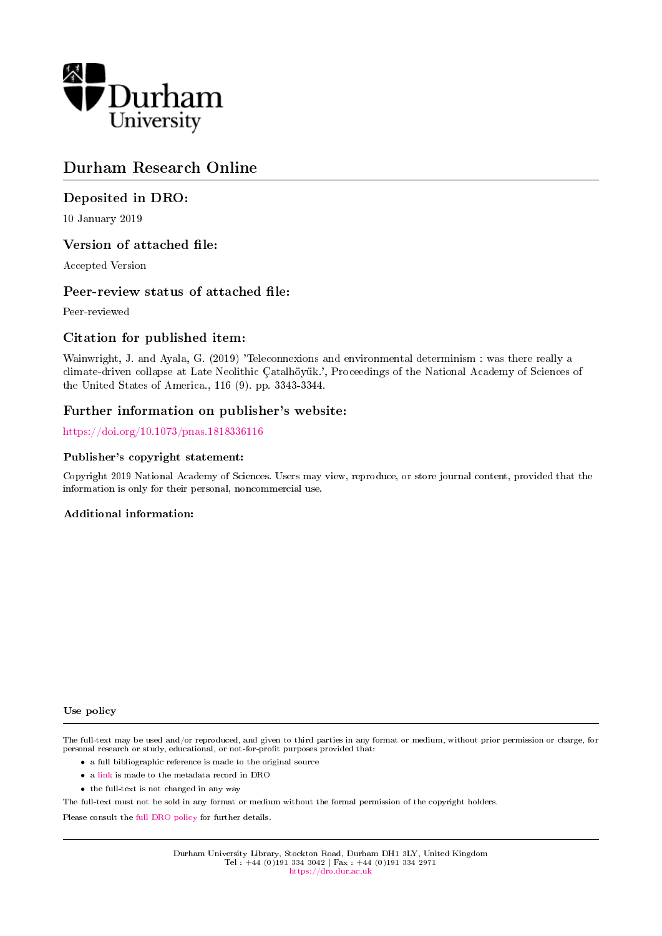

# Durham Research Online

## Deposited in DRO:

10 January 2019

### Version of attached file:

Accepted Version

### Peer-review status of attached file:

Peer-reviewed

### Citation for published item:

Wainwright, J. and Ayala, G. (2019) 'Teleconnexions and environmental determinism : was there really a climate-driven collapse at Late Neolithic Catalhöyük.', Proceedings of the National Academy of Sciences of the United States of America., 116 (9). pp. 3343-3344.

### Further information on publisher's website:

<https://doi.org/10.1073/pnas.1818336116>

#### Publisher's copyright statement:

Copyright 2019 National Academy of Sciences. Users may view, reproduce, or store journal content, provided that the information is only for their personal, noncommercial use.

#### Additional information:

#### Use policy

The full-text may be used and/or reproduced, and given to third parties in any format or medium, without prior permission or charge, for personal research or study, educational, or not-for-profit purposes provided that:

- a full bibliographic reference is made to the original source
- a [link](http://dro.dur.ac.uk/27147/) is made to the metadata record in DRO
- the full-text is not changed in any way

The full-text must not be sold in any format or medium without the formal permission of the copyright holders.

Please consult the [full DRO policy](https://dro.dur.ac.uk/policies/usepolicy.pdf) for further details.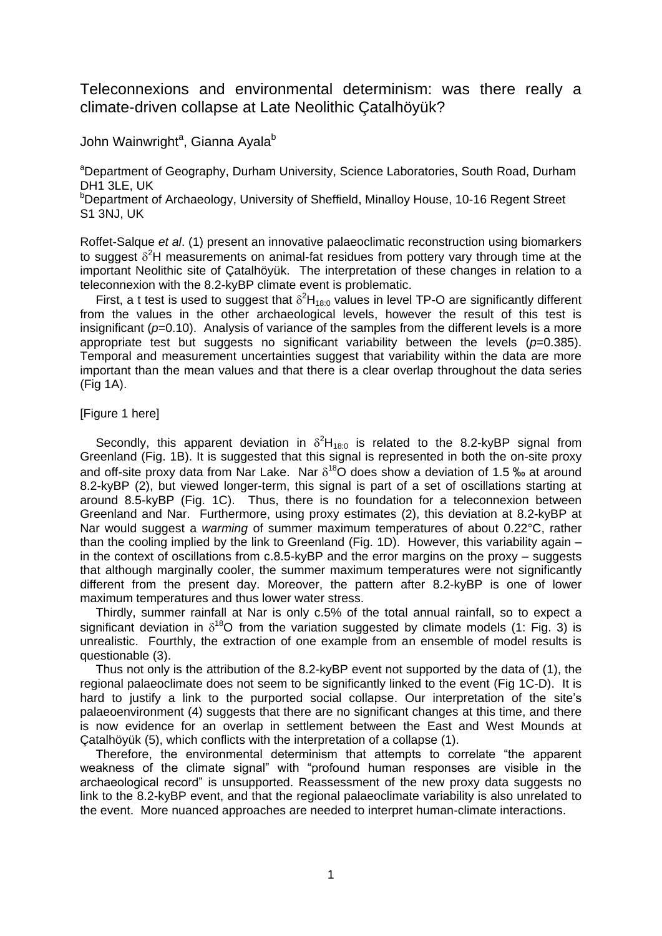Teleconnexions and environmental determinism: was there really a climate-driven collapse at Late Neolithic Çatalhöyük?

John Wainwright<sup>a</sup>, Gianna Ayala<sup>b</sup>

aDepartment of Geography, Durham University, Science Laboratories, South Road, Durham DH1 3LE, UK

**bDepartment of Archaeology, University of Sheffield, Minalloy House, 10-16 Regent Street** S1 3NJ, UK

Roffet-Salque *et al*. (1) present an innovative palaeoclimatic reconstruction using biomarkers to suggest  $\delta^2$ H measurements on animal-fat residues from pottery vary through time at the important Neolithic site of Çatalhöyük. The interpretation of these changes in relation to a teleconnexion with the 8.2-kyBP climate event is problematic.

First, a t test is used to suggest that  $\delta^2H_{18:0}$  values in level TP-O are significantly different from the values in the other archaeological levels, however the result of this test is insignificant ( $p=0.10$ ). Analysis of variance of the samples from the different levels is a more appropriate test but suggests no significant variability between the levels (*p*=0.385). Temporal and measurement uncertainties suggest that variability within the data are more important than the mean values and that there is a clear overlap throughout the data series (Fig 1A).

[Figure 1 here]

Secondly, this apparent deviation in  $\delta^2H_{18:0}$  is related to the 8.2-kyBP signal from Greenland (Fig. 1B). It is suggested that this signal is represented in both the on-site proxy and off-site proxy data from Nar Lake. Nar  $\delta^{18}O$  does show a deviation of 1.5 ‰ at around 8.2-kyBP (2), but viewed longer-term, this signal is part of a set of oscillations starting at around 8.5-kyBP (Fig. 1C). Thus, there is no foundation for a teleconnexion between Greenland and Nar. Furthermore, using proxy estimates (2), this deviation at 8.2-kyBP at Nar would suggest a *warming* of summer maximum temperatures of about 0.22°C, rather than the cooling implied by the link to Greenland (Fig. 1D). However, this variability again – in the context of oscillations from c.8.5-kyBP and the error margins on the proxy – suggests that although marginally cooler, the summer maximum temperatures were not significantly different from the present day. Moreover, the pattern after 8.2-kyBP is one of lower maximum temperatures and thus lower water stress.

Thirdly, summer rainfall at Nar is only c.5% of the total annual rainfall, so to expect a significant deviation in  $\delta^{18}O$  from the variation suggested by climate models (1: Fig. 3) is unrealistic. Fourthly, the extraction of one example from an ensemble of model results is questionable (3).

Thus not only is the attribution of the 8.2-kyBP event not supported by the data of (1), the regional palaeoclimate does not seem to be significantly linked to the event (Fig 1C-D). It is hard to justify a link to the purported social collapse. Our interpretation of the site's palaeoenvironment (4) suggests that there are no significant changes at this time, and there is now evidence for an overlap in settlement between the East and West Mounds at Çatalhöyük (5), which conflicts with the interpretation of a collapse (1).

Therefore, the environmental determinism that attempts to correlate "the apparent weakness of the climate signal" with "profound human responses are visible in the archaeological record" is unsupported. Reassessment of the new proxy data suggests no link to the 8.2-kyBP event, and that the regional palaeoclimate variability is also unrelated to the event. More nuanced approaches are needed to interpret human-climate interactions.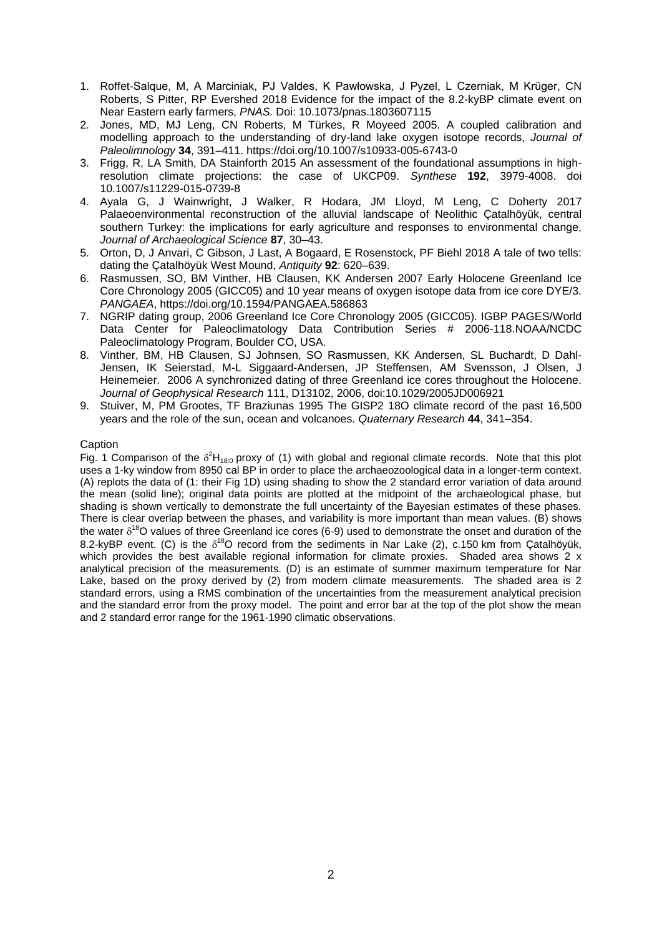- 1. Roffet-Salque, M, A Marciniak, PJ Valdes, K Pawłowska, J Pyzel, L Czerniak, M Krüger, CN Roberts, S Pitter, RP Evershed 2018 Evidence for the impact of the 8.2-kyBP climate event on Near Eastern early farmers, *PNAS.* Doi: 10.1073/pnas.1803607115
- 2. Jones, MD, MJ Leng, CN Roberts, M Türkes, R Moyeed 2005. A coupled calibration and modelling approach to the understanding of dry-land lake oxygen isotope records, *Journal of Paleolimnology* **34**, 391–411. https://doi.org/10.1007/s10933-005-6743-0
- 3. Frigg, R, LA Smith, DA Stainforth 2015 An assessment of the foundational assumptions in highresolution climate projections: the case of UKCP09. *Synthese* **192**, 3979-4008. doi 10.1007/s11229-015-0739-8
- 4. Ayala G, J Wainwright, J Walker, R Hodara, JM Lloyd, M Leng, C Doherty 2017 Palaeoenvironmental reconstruction of the alluvial landscape of Neolithic Çatalhöyük, central southern Turkey: the implications for early agriculture and responses to environmental change, *Journal of Archaeological Science* **87**, 30–43.
- 5. Orton, D, J Anvari, C Gibson, J Last, A Bogaard, E Rosenstock, PF Biehl 2018 A tale of two tells: dating the Çatalhöyük West Mound, *Antiquity* **92**: 620–639.
- 6. Rasmussen, SO, BM Vinther, HB Clausen, KK Andersen 2007 Early Holocene Greenland Ice Core Chronology 2005 (GICC05) and 10 year means of oxygen isotope data from ice core DYE/3. *PANGAEA*, https://doi.org/10.1594/PANGAEA.586863
- 7. NGRIP dating group, 2006 Greenland Ice Core Chronology 2005 (GICC05). IGBP PAGES/World Data Center for Paleoclimatology Data Contribution Series # 2006-118.NOAA/NCDC Paleoclimatology Program, Boulder CO, USA.
- 8. Vinther, BM, HB Clausen, SJ Johnsen, SO Rasmussen, KK Andersen, SL Buchardt, D Dahl-Jensen, IK Seierstad, M-L Siggaard-Andersen, JP Steffensen, AM Svensson, J Olsen, J Heinemeier. 2006 A synchronized dating of three Greenland ice cores throughout the Holocene. *Journal of Geophysical Research* 111, D13102, 2006, doi:10.1029/2005JD006921
- 9. Stuiver, M, PM Grootes, TF Braziunas 1995 The GISP2 18O climate record of the past 16,500 years and the role of the sun, ocean and volcanoes. *Quaternary Research* **44**, 341–354.

#### **Caption**

Fig. 1 Comparison of the  $\delta^2H_{18:0}$  proxy of (1) with global and regional climate records. Note that this plot uses a 1-ky window from 8950 cal BP in order to place the archaeozoological data in a longer-term context. (A) replots the data of (1: their Fig 1D) using shading to show the 2 standard error variation of data around the mean (solid line); original data points are plotted at the midpoint of the archaeological phase, but shading is shown vertically to demonstrate the full uncertainty of the Bayesian estimates of these phases. There is clear overlap between the phases, and variability is more important than mean values. (B) shows the water  $\delta^{18}$ O values of three Greenland ice cores (6-9) used to demonstrate the onset and duration of the 8.2-kyBP event. (C) is the  $\delta^{18}O$  record from the sediments in Nar Lake (2), c.150 km from Çatalhöyük, which provides the best available regional information for climate proxies. Shaded area shows 2 x analytical precision of the measurements. (D) is an estimate of summer maximum temperature for Nar Lake, based on the proxy derived by (2) from modern climate measurements. The shaded area is 2 standard errors, using a RMS combination of the uncertainties from the measurement analytical precision and the standard error from the proxy model. The point and error bar at the top of the plot show the mean and 2 standard error range for the 1961-1990 climatic observations.